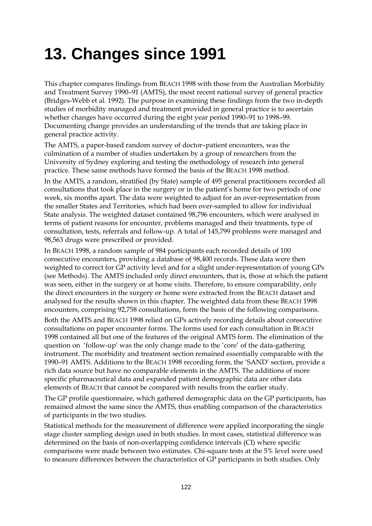# **13. Changes since 1991**

This chapter compares findings from BEACH 1998 with those from the Australian Morbidity and Treatment Survey 1990–91 (AMTS), the most recent national survey of general practice (Bridges-Webb et al. 1992). The purpose in examining these findings from the two in-depth studies of morbidity managed and treatment provided in general practice is to ascertain whether changes have occurred during the eight year period 1990–91 to 1998–99. Documenting change provides an understanding of the trends that are taking place in general practice activity.

The AMTS, a paper-based random survey of doctor–patient encounters, was the culmination of a number of studies undertaken by a group of researchers from the University of Sydney exploring and testing the methodology of research into general practice. These same methods have formed the basis of the BEACH 1998 method.

In the AMTS, a random, stratified (by State) sample of 495 general practitioners recorded all consultations that took place in the surgery or in the patient's home for two periods of one week, six months apart. The data were weighted to adjust for an over-representation from the smaller States and Territories, which had been over-sampled to allow for individual State analysis. The weighted dataset contained 98,796 encounters, which were analysed in terms of patient reasons for encounter, problems managed and their treatments, type of consultation, tests, referrals and follow-up. A total of 145,799 problems were managed and 98,563 drugs were prescribed or provided.

In BEACH 1998, a random sample of 984 participants each recorded details of 100 consecutive encounters, providing a database of 98,400 records. These data were then weighted to correct for GP activity level and for a slight under-representation of young GPs (see Methods). The AMTS included only direct encounters, that is, those at which the patient was seen, either in the surgery or at home visits. Therefore, to ensure comparability, only the direct encounters in the surgery or home were extracted from the BEACH dataset and analysed for the results shown in this chapter. The weighted data from these BEACH 1998 encounters, comprising 92,758 consultations, form the basis of the following comparisons.

Both the AMTS and BEACH 1998 relied on GPs actively recording details about consecutive consultations on paper encounter forms. The forms used for each consultation in BEACH 1998 contained all but one of the features of the original AMTS form. The elimination of the question on 'follow-up' was the only change made to the 'core' of the data-gathering instrument. The morbidity and treatment section remained essentially comparable with the 1990–91 AMTS. Additions to the BEACH 1998 recording form, the 'SAND' section, provide a rich data source but have no comparable elements in the AMTS. The additions of more specific pharmaceutical data and expanded patient demographic data are other data elements of BEACH that cannot be compared with results from the earlier study.

The GP profile questionnaire, which gathered demographic data on the GP participants, has remained almost the same since the AMTS, thus enabling comparison of the characteristics of participants in the two studies.

Statistical methods for the measurement of difference were applied incorporating the single stage cluster sampling design used in both studies. In most cases, statistical difference was determined on the basis of non-overlapping confidence intervals (CI) where specific comparisons were made between two estimates. Chi-square tests at the 5% level were used to measure differences between the characteristics of GP participants in both studies. Only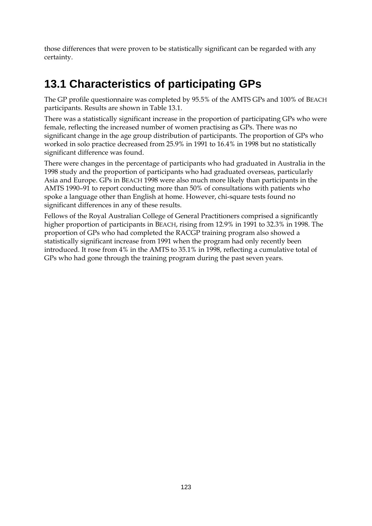those differences that were proven to be statistically significant can be regarded with any certainty.

# **13.1 Characteristics of participating GPs**

The GP profile questionnaire was completed by 95.5% of the AMTS GPs and 100% of BEACH participants. Results are shown in Table 13.1.

There was a statistically significant increase in the proportion of participating GPs who were female, reflecting the increased number of women practising as GPs. There was no significant change in the age group distribution of participants. The proportion of GPs who worked in solo practice decreased from 25.9% in 1991 to 16.4% in 1998 but no statistically significant difference was found.

There were changes in the percentage of participants who had graduated in Australia in the 1998 study and the proportion of participants who had graduated overseas, particularly Asia and Europe. GPs in BEACH 1998 were also much more likely than participants in the AMTS 1990–91 to report conducting more than 50% of consultations with patients who spoke a language other than English at home. However, chi-square tests found no significant differences in any of these results.

Fellows of the Royal Australian College of General Practitioners comprised a significantly higher proportion of participants in BEACH, rising from 12.9% in 1991 to 32.3% in 1998. The proportion of GPs who had completed the RACGP training program also showed a statistically significant increase from 1991 when the program had only recently been introduced. It rose from 4% in the AMTS to 35.1% in 1998, reflecting a cumulative total of GPs who had gone through the training program during the past seven years.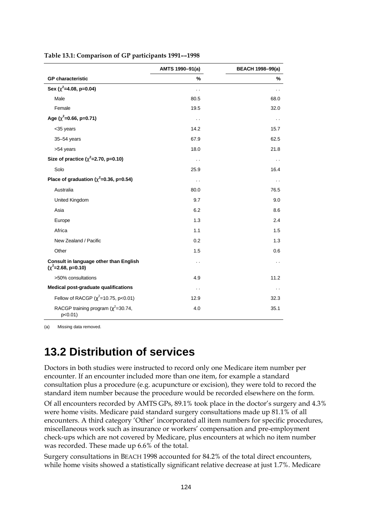|                                                                | AMTS 1990-91(a)      | <b>BEACH 1998-99(a)</b> |
|----------------------------------------------------------------|----------------------|-------------------------|
| <b>GP</b> characteristic                                       | %                    | $\%$                    |
| Sex ( $c^2$ =4.08, p=0.04)                                     | . .                  | . .                     |
| Male                                                           | 80.5                 | 68.0                    |
| Female                                                         | 19.5                 | 32.0                    |
| Age ( $c^2$ =0.66, p=0.71)                                     | $\ddot{\phantom{0}}$ | $\ddot{\phantom{0}}$    |
| <35 years                                                      | 14.2                 | 15.7                    |
| 35-54 years                                                    | 67.9                 | 62.5                    |
| >54 years                                                      | 18.0                 | 21.8                    |
| Size of practice ( $c^2$ =2.70, p=0.10)                        | $\ddot{\phantom{0}}$ | $\ddot{\phantom{0}}$    |
| Solo                                                           | 25.9                 | 16.4                    |
| Place of graduation ( $c^2$ =0.36, p=0.54)                     | . .                  | . .                     |
| Australia                                                      | 80.0                 | 76.5                    |
| <b>United Kingdom</b>                                          | 9.7                  | 9.0                     |
| Asia                                                           | 6.2                  | 8.6                     |
| Europe                                                         | 1.3                  | 2.4                     |
| Africa                                                         | 1.1                  | 1.5                     |
| New Zealand / Pacific                                          | 0.2                  | 1.3                     |
| Other                                                          | 1.5                  | 0.6                     |
| Consult in language other than English<br>$(c^2=2.68, p=0.10)$ | $\ddot{\phantom{0}}$ | $\ddot{\phantom{0}}$    |
| >50% consultations                                             | 4.9                  | 11.2                    |
| Medical post-graduate qualifications                           | $\ddot{\phantom{0}}$ | $\ddot{\phantom{0}}$    |
| Fellow of RACGP ( $\chi^2$ =10.75, p<0.01)                     | 12.9                 | 32.3                    |
| RACGP training program ( $\chi^2$ =30.74,<br>$p<0.01$ )        | 4.0                  | 35.1                    |

#### **Table 13.1: Comparison of GP participants 1991––1998**

(a) Missing data removed.

### **13.2 Distribution of services**

Doctors in both studies were instructed to record only one Medicare item number per encounter. If an encounter included more than one item, for example a standard consultation plus a procedure (e.g. acupuncture or excision), they were told to record the standard item number because the procedure would be recorded elsewhere on the form.

Of all encounters recorded by AMTS GPs, 89.1% took place in the doctor's surgery and 4.3% were home visits. Medicare paid standard surgery consultations made up 81.1% of all encounters. A third category 'Other' incorporated all item numbers for specific procedures, miscellaneous work such as insurance or workers' compensation and pre-employment check-ups which are not covered by Medicare, plus encounters at which no item number was recorded. These made up 6.6% of the total.

Surgery consultations in BEACH 1998 accounted for 84.2% of the total direct encounters, while home visits showed a statistically significant relative decrease at just 1.7%. Medicare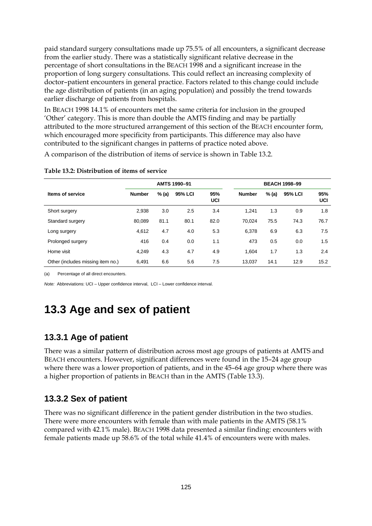paid standard surgery consultations made up 75.5% of all encounters, a significant decrease from the earlier study. There was a statistically significant relative decrease in the percentage of short consultations in the BEACH 1998 and a significant increase in the proportion of long surgery consultations. This could reflect an increasing complexity of doctor–patient encounters in general practice. Factors related to this change could include the age distribution of patients (in an aging population) and possibly the trend towards earlier discharge of patients from hospitals.

In BEACH 1998 14.1% of encounters met the same criteria for inclusion in the grouped 'Other' category. This is more than double the AMTS finding and may be partially attributed to the more structured arrangement of this section of the BEACH encounter form, which encouraged more specificity from participants. This difference may also have contributed to the significant changes in patterns of practice noted above.

A comparison of the distribution of items of service is shown in Table 13.2.

|                                   | AMTS 1990-91  |       |                |                   |               | <b>BEACH 1998-99</b> |                |            |  |  |
|-----------------------------------|---------------|-------|----------------|-------------------|---------------|----------------------|----------------|------------|--|--|
| Items of service                  | <b>Number</b> | % (a) | <b>95% LCI</b> | 95%<br><b>UCI</b> | <b>Number</b> | % (a)                | <b>95% LCI</b> | 95%<br>UCI |  |  |
| Short surgery                     | 2,938         | 3.0   | 2.5            | 3.4               | 1.241         | 1.3                  | 0.9            | 1.8        |  |  |
| Standard surgery                  | 80.089        | 81.1  | 80.1           | 82.0              | 70.024        | 75.5                 | 74.3           | 76.7       |  |  |
| Long surgery                      | 4.612         | 4.7   | 4.0            | 5.3               | 6,378         | 6.9                  | 6.3            | 7.5        |  |  |
| Prolonged surgery                 | 416           | 0.4   | 0.0            | 1.1               | 473           | 0.5                  | 0.0            | 1.5        |  |  |
| Home visit                        | 4.249         | 4.3   | 4.7            | 4.9               | 1.604         | 1.7                  | 1.3            | 2.4        |  |  |
| Other (includes missing item no.) | 6.491         | 6.6   | 5.6            | 7.5               | 13,037        | 14.1                 | 12.9           | 15.2       |  |  |

#### **Table 13.2: Distribution of items of service**

(a) Percentage of all direct encounters.

*Note:* Abbreviations: UCI – Upper confidence interval, LCI – Lower confidence interval.

### **13.3 Age and sex of patient**

#### **13.3.1 Age of patient**

There was a similar pattern of distribution across most age groups of patients at AMTS and BEACH encounters. However, significant differences were found in the 15–24 age group where there was a lower proportion of patients, and in the 45–64 age group where there was a higher proportion of patients in BEACH than in the AMTS (Table 13.3).

#### **13.3.2 Sex of patient**

There was no significant difference in the patient gender distribution in the two studies. There were more encounters with female than with male patients in the AMTS (58.1% compared with 42.1% male). BEACH 1998 data presented a similar finding: encounters with female patients made up 58.6% of the total while 41.4% of encounters were with males.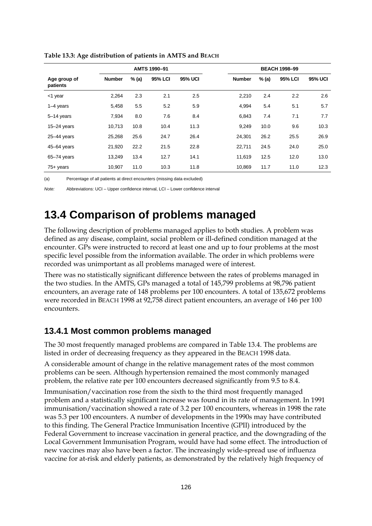|                          | AMTS 1990-91  |         |                |                |               | <b>BEACH 1998-99</b> |         |                |  |  |
|--------------------------|---------------|---------|----------------|----------------|---------------|----------------------|---------|----------------|--|--|
| Age group of<br>patients | <b>Number</b> | $%$ (a) | <b>95% LCI</b> | <b>95% UCI</b> | <b>Number</b> | % (a)                | 95% LCI | <b>95% UCI</b> |  |  |
| <1 year                  | 2,264         | 2.3     | 2.1            | 2.5            | 2,210         | 2.4                  | 2.2     | 2.6            |  |  |
| $1-4$ years              | 5,458         | 5.5     | 5.2            | 5.9            | 4,994         | 5.4                  | 5.1     | 5.7            |  |  |
| 5-14 years               | 7,934         | 8.0     | 7.6            | 8.4            | 6.843         | 7.4                  | 7.1     | 7.7            |  |  |
| $15 - 24$ years          | 10.713        | 10.8    | 10.4           | 11.3           | 9.249         | 10.0                 | 9.6     | 10.3           |  |  |
| $25 - 44$ years          | 25,268        | 25.6    | 24.7           | 26.4           | 24,301        | 26.2                 | 25.5    | 26.9           |  |  |
| 45-64 years              | 21,920        | 22.2    | 21.5           | 22.8           | 22,711        | 24.5                 | 24.0    | 25.0           |  |  |
| $65 - 74$ years          | 13,249        | 13.4    | 12.7           | 14.1           | 11.619        | 12.5                 | 12.0    | 13.0           |  |  |
| $75+$ years              | 10,907        | 11.0    | 10.3           | 11.8           | 10.869        | 11.7                 | 11.0    | 12.3           |  |  |

**Table 13.3: Age distribution of patients in AMTS and BEACH**

(a) Percentage of all patients at direct encounters (missing data excluded)

*Note:* Abbreviations: UCI – Upper confidence interval, LCI – Lower confidence interval

### **13.4 Comparison of problems managed**

The following description of problems managed applies to both studies. A problem was defined as any disease, complaint, social problem or ill-defined condition managed at the encounter. GPs were instructed to record at least one and up to four problems at the most specific level possible from the information available. The order in which problems were recorded was unimportant as all problems managed were of interest.

There was no statistically significant difference between the rates of problems managed in the two studies. In the AMTS, GPs managed a total of 145,799 problems at 98,796 patient encounters, an average rate of 148 problems per 100 encounters. A total of 135,672 problems were recorded in BEACH 1998 at 92,758 direct patient encounters, an average of 146 per 100 encounters.

#### **13.4.1 Most common problems managed**

The 30 most frequently managed problems are compared in Table 13.4. The problems are listed in order of decreasing frequency as they appeared in the BEACH 1998 data.

A considerable amount of change in the relative management rates of the most common problems can be seen. Although hypertension remained the most commonly managed problem, the relative rate per 100 encounters decreased significantly from 9.5 to 8.4.

Immunisation/vaccination rose from the sixth to the third most frequently managed problem and a statistically significant increase was found in its rate of management. In 1991 immunisation/vaccination showed a rate of 3.2 per 100 encounters, whereas in 1998 the rate was 5.3 per 100 encounters. A number of developments in the 1990s may have contributed to this finding. The General Practice Immunisation Incentive (GPII) introduced by the Federal Government to increase vaccination in general practice, and the downgrading of the Local Government Immunisation Program, would have had some effect. The introduction of new vaccines may also have been a factor. The increasingly wide-spread use of influenza vaccine for at-risk and elderly patients, as demonstrated by the relatively high frequency of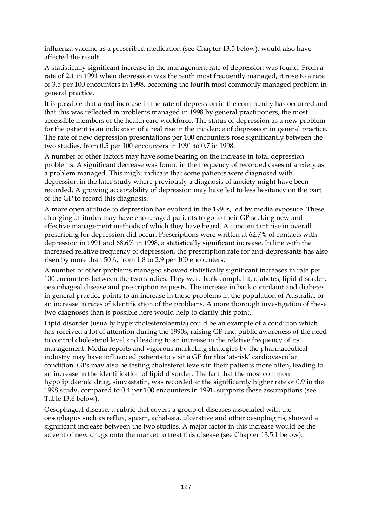influenza vaccine as a prescribed medication (see Chapter 13.5 below), would also have affected the result.

A statistically significant increase in the management rate of depression was found. From a rate of 2.1 in 1991 when depression was the tenth most frequently managed, it rose to a rate of 3.5 per 100 encounters in 1998, becoming the fourth most commonly managed problem in general practice.

It is possible that a real increase in the rate of depression in the community has occurred and that this was reflected in problems managed in 1998 by general practitioners, the most accessible members of the health care workforce. The status of depression as a new problem for the patient is an indication of a real rise in the incidence of depression in general practice. The rate of new depression presentations per 100 encounters rose significantly between the two studies, from 0.5 per 100 encounters in 1991 to 0.7 in 1998.

A number of other factors may have some bearing on the increase in total depression problems. A significant decrease was found in the frequency of recorded cases of anxiety as a problem managed. This might indicate that some patients were diagnosed with depression in the later study where previously a diagnosis of anxiety might have been recorded. A growing acceptability of depression may have led to less hesitancy on the part of the GP to record this diagnosis.

A more open attitude to depression has evolved in the 1990s, led by media exposure. These changing attitudes may have encouraged patients to go to their GP seeking new and effective management methods of which they have heard. A concomitant rise in overall prescribing for depression did occur. Prescriptions were written at 62.7% of contacts with depression in 1991 and 68.6% in 1998, a statistically significant increase. In line with the increased relative frequency of depression, the prescription rate for anti-depressants has also risen by more than 50%, from 1.8 to 2.9 per 100 encounters.

A number of other problems managed showed statistically significant increases in rate per 100 encounters between the two studies. They were back complaint, diabetes, lipid disorder, oesophageal disease and prescription requests. The increase in back complaint and diabetes in general practice points to an increase in these problems in the population of Australia, or an increase in rates of identification of the problems. A more thorough investigation of these two diagnoses than is possible here would help to clarify this point.

Lipid disorder (usually hypercholesterolaemia) could be an example of a condition which has received a lot of attention during the 1990s, raising GP and public awareness of the need to control cholesterol level and leading to an increase in the relative frequency of its management. Media reports and vigorous marketing strategies by the pharmaceutical industry may have influenced patients to visit a GP for this 'at-risk' cardiovascular condition. GPs may also be testing cholesterol levels in their patients more often, leading to an increase in the identification of lipid disorder. The fact that the most common hypolipidaemic drug, simvastatin, was recorded at the significantly higher rate of 0.9 in the 1998 study, compared to 0.4 per 100 encounters in 1991, supports these assumptions (see Table 13.6 below).

Oesophageal disease, a rubric that covers a group of diseases associated with the oesophagus such as reflux, spasm, achalasia, ulcerative and other oesophagitis, showed a significant increase between the two studies. A major factor in this increase would be the advent of new drugs onto the market to treat this disease (see Chapter 13.5.1 below).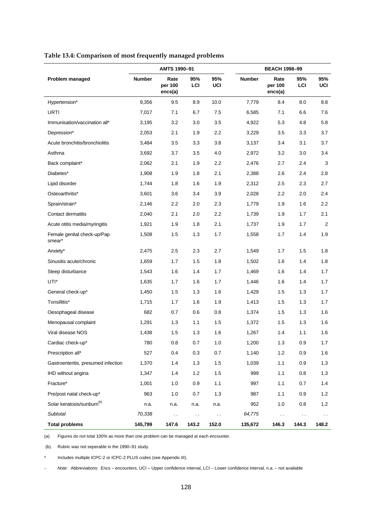|                                        |               | AMTS 1990-91               |               |                      |               | <b>BEACH 1998-99</b>       |            |               |  |
|----------------------------------------|---------------|----------------------------|---------------|----------------------|---------------|----------------------------|------------|---------------|--|
| Problem managed                        | <b>Number</b> | Rate<br>per 100<br>encs(a) | 95%<br>LCI    | 95%<br>UCI           | <b>Number</b> | Rate<br>per 100<br>encs(a) | 95%<br>LCI | 95%<br>UCI    |  |
| Hypertension*                          | 9,356         | 9.5                        | 8.9           | 10.0                 | 7.779         | 8.4                        | 8.0        | 8.8           |  |
| URTI                                   | 7,017         | 7.1                        | 6.7           | 7.5                  | 6,585         | 7.1                        | 6.6        | 7.6           |  |
| Immunisation/vaccination all*          | 3,195         | 3.2                        | 3.0           | 3.5                  | 4,922         | 5.3                        | 4.8        | 5.8           |  |
| Depression*                            | 2,053         | 2.1                        | 1.9           | 2.2                  | 3,229         | 3.5                        | 3.3        | 3.7           |  |
| Acute bronchitis/bronchiolitis         | 3,484         | 3.5                        | 3.3           | 3.8                  | 3,137         | 3.4                        | 3.1        | 3.7           |  |
| Asthma                                 | 3,692         | 3.7                        | 3.5           | 4.0                  | 2,972         | 3.2                        | 3.0        | 3.4           |  |
| Back complaint*                        | 2,062         | 2.1                        | 1.9           | 2.2                  | 2,476         | 2.7                        | 2.4        | 3             |  |
| Diabetes*                              | 1,908         | 1.9                        | 1.8           | 2.1                  | 2,388         | 2.6                        | 2.4        | 2.8           |  |
| Lipid disorder                         | 1,744         | 1.8                        | 1.6           | 1.9                  | 2,312         | 2.5                        | 2.3        | 2.7           |  |
| Osteoarthritis*                        | 3,601         | 3.6                        | 3.4           | 3.9                  | 2,028         | 2.2                        | 2.0        | 2.4           |  |
| Sprain/strain*                         | 2,146         | 2.2                        | 2.0           | 2.3                  | 1,779         | 1.9                        | 1.6        | $2.2\,$       |  |
| Contact dermatitis                     | 2,040         | 2.1                        | 2.0           | 2.2                  | 1,739         | 1.9                        | 1.7        | 2.1           |  |
| Acute otitis media/myringitis          | 1,921         | 1.9                        | 1.8           | 2.1                  | 1,737         | 1.9                        | 1.7        | 2             |  |
| Female genital check-up/Pap<br>smear*  | 1,508         | 1.5                        | 1.3           | 1.7                  | 1,558         | 1.7                        | 1.4        | 1.9           |  |
| Anxiety*                               | 2,475         | 2.5                        | 2.3           | 2.7                  | 1,549         | 1.7                        | 1.5        | 1.8           |  |
| Sinusitis acute/chronic                | 1,659         | 1.7                        | 1.5           | 1.8                  | 1,502         | 1.6                        | 1.4        | 1.8           |  |
| Sleep disturbance                      | 1,543         | 1.6                        | 1.4           | 1.7                  | 1,469         | 1.6                        | 1.4        | 1.7           |  |
| UTI*                                   | 1,635         | 1.7                        | 1.6           | 1.7                  | 1,446         | 1.6                        | 1.4        | 1.7           |  |
| General check-up*                      | 1,450         | 1.5                        | 1.3           | 1.6                  | 1,429         | 1.5                        | 1.3        | 1.7           |  |
| Tonsillitis*                           | 1,715         | 1.7                        | 1.6           | 1.9                  | 1,413         | 1.5                        | 1.3        | 1.7           |  |
| Oesophageal disease                    | 682           | 0.7                        | 0.6           | 0.8                  | 1,374         | 1.5                        | 1.3        | 1.6           |  |
| Menopausal complaint                   | 1,291         | 1.3                        | 1.1           | 1.5                  | 1,372         | 1.5                        | 1.3        | 1.6           |  |
| Viral disease NOS                      | 1,438         | 1.5                        | 1.3           | 1.6                  | 1,267         | 1.4                        | 1.1        | 1.6           |  |
| Cardiac check-up*                      | 780           | $0.8\,$                    | 0.7           | 1.0                  | 1,200         | $1.3$                      | 0.9        | 1.7           |  |
| Prescription all*                      | 527           | 0.4                        | 0.3           | 0.7                  | 1,140         | 1.2                        | 0.9        | 1.6           |  |
| Gastroenteritis, presumed infection    | 1,370         | 1.4                        | 1.3           | 1.5                  | 1,039         | 1.1                        | 0.9        | 1.3           |  |
| IHD without angina                     | 1,347         | 1.4                        | 1.2           | 1.5                  | 999           | 1.1                        | 0.8        | 1.3           |  |
| Fracture*                              | 1,001         | 1.0                        | 0.9           | 1.1                  | 997           | 1.1                        | 0.7        | 1.4           |  |
| Pre/post natal check-up*               | 963           | 1.0                        | 0.7           | 1.3                  | 987           | 1.1                        | 0.9        | 1.2           |  |
| Solar keratosis/sunburn <sup>(b)</sup> | n.a.          | n.a.                       | n.a.          | n.a.                 | 952           | 1.0                        | 0.8        | 1.2           |  |
| Subtotal                               | 70,338        | $\sim$ $\sim$              | $\sim$ $\sim$ | $\ddot{\phantom{0}}$ | 64,775        | $\sim$ $\sim$              | $\sim$     | $\sim$ $\sim$ |  |
| <b>Total problems</b>                  | 145,799       | 147.6                      | 143.2         | 152.0                | 135,672       | 146.3                      | 144.3      | 148.2         |  |

#### **Table 13.4: Comparison of most frequently managed problems**

(a) Figures do not total 100% as more than one problem can be managed at each encounter.

(b). Rubric was not seperable in the 1990–91 study.

\* Includes multiple ICPC-2 or ICPC-2 PLUS codes (see Appendix III).

– *Note:* Abbreviations: Encs – encounters, UCI – Upper confidence interval, LCI – Lower confidence interval, n.a. – not available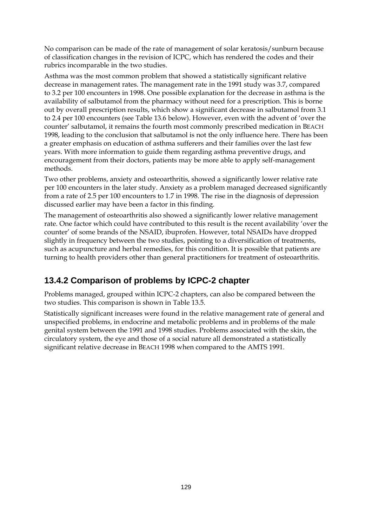No comparison can be made of the rate of management of solar keratosis/sunburn because of classification changes in the revision of ICPC, which has rendered the codes and their rubrics incomparable in the two studies.

Asthma was the most common problem that showed a statistically significant relative decrease in management rates. The management rate in the 1991 study was 3.7, compared to 3.2 per 100 encounters in 1998. One possible explanation for the decrease in asthma is the availability of salbutamol from the pharmacy without need for a prescription. This is borne out by overall prescription results, which show a significant decrease in salbutamol from 3.1 to 2.4 per 100 encounters (see Table 13.6 below). However, even with the advent of 'over the counter' salbutamol, it remains the fourth most commonly prescribed medication in BEACH 1998, leading to the conclusion that salbutamol is not the only influence here. There has been a greater emphasis on education of asthma sufferers and their families over the last few years. With more information to guide them regarding asthma preventive drugs, and encouragement from their doctors, patients may be more able to apply self-management methods.

Two other problems, anxiety and osteoarthritis, showed a significantly lower relative rate per 100 encounters in the later study. Anxiety as a problem managed decreased significantly from a rate of 2.5 per 100 encounters to 1.7 in 1998. The rise in the diagnosis of depression discussed earlier may have been a factor in this finding.

The management of osteoarthritis also showed a significantly lower relative management rate. One factor which could have contributed to this result is the recent availability 'over the counter' of some brands of the NSAID, ibuprofen. However, total NSAIDs have dropped slightly in frequency between the two studies, pointing to a diversification of treatments, such as acupuncture and herbal remedies, for this condition. It is possible that patients are turning to health providers other than general practitioners for treatment of osteoarthritis.

### **13.4.2 Comparison of problems by ICPC-2 chapter**

Problems managed, grouped within ICPC-2 chapters, can also be compared between the two studies. This comparison is shown in Table 13.5.

Statistically significant increases were found in the relative management rate of general and unspecified problems, in endocrine and metabolic problems and in problems of the male genital system between the 1991 and 1998 studies. Problems associated with the skin, the circulatory system, the eye and those of a social nature all demonstrated a statistically significant relative decrease in BEACH 1998 when compared to the AMTS 1991.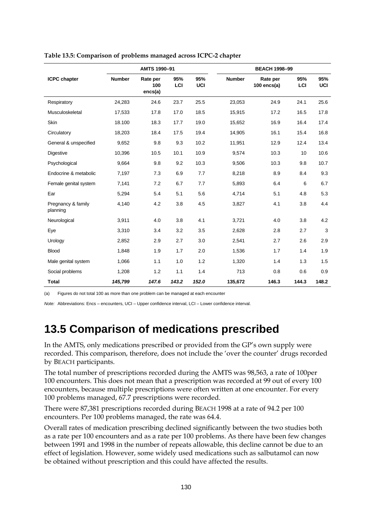|                                |               | AMTS 1990-91               |            |            |               | <b>BEACH 1998-99</b>      |            |                   |
|--------------------------------|---------------|----------------------------|------------|------------|---------------|---------------------------|------------|-------------------|
| <b>ICPC</b> chapter            | <b>Number</b> | Rate per<br>100<br>encs(a) | 95%<br>LCI | 95%<br>UCI | <b>Number</b> | Rate per<br>$100$ encs(a) | 95%<br>LCI | 95%<br><b>UCI</b> |
| Respiratory                    | 24,283        | 24.6                       | 23.7       | 25.5       | 23,053        | 24.9                      | 24.1       | 25.6              |
| Musculoskeletal                | 17,533        | 17.8                       | 17.0       | 18.5       | 15,915        | 17.2                      | 16.5       | 17.8              |
| Skin                           | 18.100        | 18.3                       | 17.7       | 19.0       | 15,652        | 16.9                      | 16.4       | 17.4              |
| Circulatory                    | 18,203        | 18.4                       | 17.5       | 19.4       | 14,905        | 16.1                      | 15.4       | 16.8              |
| General & unspecified          | 9,652         | 9.8                        | 9.3        | 10.2       | 11,951        | 12.9                      | 12.4       | 13.4              |
| Digestive                      | 10,396        | 10.5                       | 10.1       | 10.9       | 9,574         | 10.3                      | 10         | 10.6              |
| Psychological                  | 9,664         | 9.8                        | 9.2        | 10.3       | 9,506         | 10.3                      | 9.8        | 10.7              |
| Endocrine & metabolic          | 7,197         | 7.3                        | 6.9        | 7.7        | 8,218         | 8.9                       | 8.4        | 9.3               |
| Female genital system          | 7,141         | 7.2                        | 6.7        | 7.7        | 5,893         | 6.4                       | 6          | 6.7               |
| Ear                            | 5,294         | 5.4                        | 5.1        | 5.6        | 4,714         | 5.1                       | 4.8        | 5.3               |
| Pregnancy & family<br>planning | 4,140         | 4.2                        | 3.8        | 4.5        | 3,827         | 4.1                       | 3.8        | 4.4               |
| Neurological                   | 3,911         | 4.0                        | 3.8        | 4.1        | 3,721         | 4.0                       | 3.8        | 4.2               |
| Eye                            | 3,310         | 3.4                        | 3.2        | 3.5        | 2,628         | 2.8                       | 2.7        | 3                 |
| Urology                        | 2,852         | 2.9                        | 2.7        | 3.0        | 2,541         | 2.7                       | 2.6        | 2.9               |
| <b>Blood</b>                   | 1,848         | 1.9                        | 1.7        | 2.0        | 1,536         | 1.7                       | 1.4        | 1.9               |
| Male genital system            | 1,066         | 1.1                        | 1.0        | 1.2        | 1,320         | 1.4                       | 1.3        | 1.5               |
| Social problems                | 1,208         | 1.2                        | 1.1        | 1.4        | 713           | 0.8                       | 0.6        | 0.9               |
| <b>Total</b>                   | 145,799       | 147.6                      | 143.2      | 152.0      | 135,672       | 146.3                     | 144.3      | 148.2             |

**Table 13.5: Comparison of problems managed across ICPC-2 chapter**

(a) Figures do not total 100 as more than one problem can be managed at each encounter

*Note:* Abbreviations: Encs – encounters, UCI – Upper confidence interval, LCI – Lower confidence interval.

## **13.5 Comparison of medications prescribed**

In the AMTS, only medications prescribed or provided from the GP's own supply were recorded. This comparison, therefore, does not include the 'over the counter' drugs recorded by BEACH participants.

The total number of prescriptions recorded during the AMTS was 98,563, a rate of 100per 100 encounters. This does not mean that a prescription was recorded at 99 out of every 100 encounters, because multiple prescriptions were often written at one encounter. For every 100 problems managed, 67.7 prescriptions were recorded.

There were 87,381 prescriptions recorded during BEACH 1998 at a rate of 94.2 per 100 encounters. Per 100 problems managed, the rate was 64.4.

Overall rates of medication prescribing declined significantly between the two studies both as a rate per 100 encounters and as a rate per 100 problems. As there have been few changes between 1991 and 1998 in the number of repeats allowable, this decline cannot be due to an effect of legislation. However, some widely used medications such as salbutamol can now be obtained without prescription and this could have affected the results.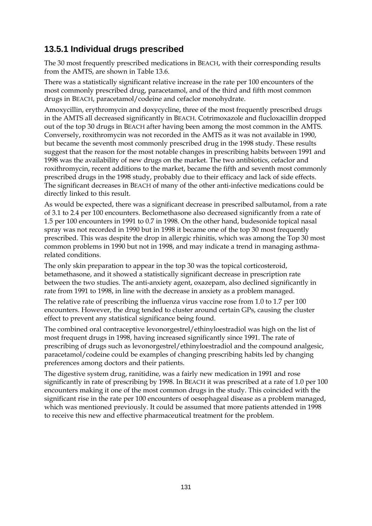### **13.5.1 Individual drugs prescribed**

The 30 most frequently prescribed medications in BEACH, with their corresponding results from the AMTS, are shown in Table 13.6.

There was a statistically significant relative increase in the rate per 100 encounters of the most commonly prescribed drug, paracetamol, and of the third and fifth most common drugs in BEACH, paracetamol/codeine and cefaclor monohydrate.

Amoxycillin, erythromycin and doxycycline, three of the most frequently prescribed drugs in the AMTS all decreased significantly in BEACH. Cotrimoxazole and flucloxacillin dropped out of the top 30 drugs in BEACH after having been among the most common in the AMTS. Conversely, roxithromycin was not recorded in the AMTS as it was not available in 1990, but became the seventh most commonly prescribed drug in the 1998 study. These results suggest that the reason for the most notable changes in prescribing habits between 1991 and 1998 was the availability of new drugs on the market. The two antibiotics, cefaclor and roxithromycin, recent additions to the market, became the fifth and seventh most commonly prescribed drugs in the 1998 study, probably due to their efficacy and lack of side effects. The significant decreases in BEACH of many of the other anti-infective medications could be directly linked to this result.

As would be expected, there was a significant decrease in prescribed salbutamol, from a rate of 3.1 to 2.4 per 100 encounters. Beclomethasone also decreased significantly from a rate of 1.5 per 100 encounters in 1991 to 0.7 in 1998. On the other hand, budesonide topical nasal spray was not recorded in 1990 but in 1998 it became one of the top 30 most frequently prescribed. This was despite the drop in allergic rhinitis, which was among the Top 30 most common problems in 1990 but not in 1998, and may indicate a trend in managing asthmarelated conditions.

The only skin preparation to appear in the top 30 was the topical corticosteroid, betamethasone, and it showed a statistically significant decrease in prescription rate between the two studies. The anti-anxiety agent, oxazepam, also declined significantly in rate from 1991 to 1998, in line with the decrease in anxiety as a problem managed.

The relative rate of prescribing the influenza virus vaccine rose from 1.0 to 1.7 per 100 encounters. However, the drug tended to cluster around certain GPs, causing the cluster effect to prevent any statistical significance being found.

The combined oral contraceptive levonorgestrel/ethinyloestradiol was high on the list of most frequent drugs in 1998, having increased significantly since 1991. The rate of prescribing of drugs such as levonorgestrel/ethinyloestradiol and the compound analgesic, paracetamol/codeine could be examples of changing prescribing habits led by changing preferences among doctors and their patients.

The digestive system drug, ranitidine, was a fairly new medication in 1991 and rose significantly in rate of prescribing by 1998. In BEACH it was prescribed at a rate of 1.0 per 100 encounters making it one of the most common drugs in the study. This coincided with the significant rise in the rate per 100 encounters of oesophageal disease as a problem managed, which was mentioned previously. It could be assumed that more patients attended in 1998 to receive this new and effective pharmaceutical treatment for the problem.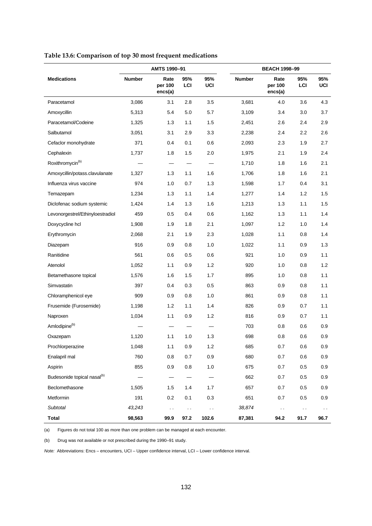|                                         |               | AMTS 1990-91               |            |               |               | <b>BEACH 1998-99</b>       |               |                   |  |  |
|-----------------------------------------|---------------|----------------------------|------------|---------------|---------------|----------------------------|---------------|-------------------|--|--|
| <b>Medications</b>                      | <b>Number</b> | Rate<br>per 100<br>encs(a) | 95%<br>LCI | 95%<br>UCI    | <b>Number</b> | Rate<br>per 100<br>encs(a) | 95%<br>LCI    | 95%<br><b>UCI</b> |  |  |
| Paracetamol                             | 3,086         | 3.1                        | 2.8        | 3.5           | 3,681         | 4.0                        | 3.6           | 4.3               |  |  |
| Amoxycillin                             | 5,313         | 5.4                        | 5.0        | 5.7           | 3,109         | 3.4                        | 3.0           | 3.7               |  |  |
| Paracetamol/Codeine                     | 1,325         | 1.3                        | 1.1        | 1.5           | 2,451         | 2.6                        | 2.4           | 2.9               |  |  |
| Salbutamol                              | 3,051         | 3.1                        | 2.9        | 3.3           | 2,238         | 2.4                        | 2.2           | 2.6               |  |  |
| Cefaclor monohydrate                    | 371           | 0.4                        | 0.1        | 0.6           | 2,093         | 2.3                        | 1.9           | 2.7               |  |  |
| Cephalexin                              | 1,737         | 1.8                        | 1.5        | 2.0           | 1,975         | 2.1                        | 1.9           | 2.4               |  |  |
| Roxithromycin <sup>(b)</sup>            |               | $\overline{\phantom{0}}$   |            |               | 1,710         | 1.8                        | 1.6           | 2.1               |  |  |
| Amoxycillin/potass.clavulanate          | 1,327         | 1.3                        | 1.1        | 1.6           | 1,706         | 1.8                        | 1.6           | 2.1               |  |  |
| Influenza virus vaccine                 | 974           | 1.0                        | 0.7        | 1.3           | 1,598         | 1.7                        | 0.4           | 3.1               |  |  |
| Temazepam                               | 1,234         | 1.3                        | 1.1        | 1.4           | 1,277         | 1.4                        | 1.2           | 1.5               |  |  |
| Diclofenac sodium systemic              | 1,424         | 1.4                        | 1.3        | 1.6           | 1,213         | 1.3                        | 1.1           | 1.5               |  |  |
| Levonorgestrel/Ethinyloestradiol        | 459           | 0.5                        | 0.4        | 0.6           | 1,162         | 1.3                        | 1.1           | 1.4               |  |  |
| Doxycycline hcl                         | 1,908         | 1.9                        | 1.8        | 2.1           | 1,097         | 1.2                        | 1.0           | 1.4               |  |  |
| Erythromycin                            | 2,068         | 2.1                        | 1.9        | 2.3           | 1,028         | 1.1                        | 0.8           | 1.4               |  |  |
| Diazepam                                | 916           | 0.9                        | 0.8        | 1.0           | 1,022         | 1.1                        | 0.9           | 1.3               |  |  |
| Ranitidine                              | 561           | 0.6                        | 0.5        | 0.6           | 921           | 1.0                        | 0.9           | 1.1               |  |  |
| Atenolol                                | 1,052         | 1.1                        | 0.9        | 1.2           | 920           | 1.0                        | 0.8           | 1.2               |  |  |
| Betamethasone topical                   | 1,576         | 1.6                        | 1.5        | 1.7           | 895           | 1.0                        | 0.8           | 1.1               |  |  |
| Simvastatin                             | 397           | 0.4                        | 0.3        | 0.5           | 863           | 0.9                        | 0.8           | 1.1               |  |  |
| Chloramphenicol eye                     | 909           | 0.9                        | 0.8        | 1.0           | 861           | 0.9                        | 0.8           | 1.1               |  |  |
| Frusemide (Furosemide)                  | 1,198         | 1.2                        | 1.1        | 1.4           | 826           | 0.9                        | 0.7           | 1.1               |  |  |
| Naproxen                                | 1,034         | 1.1                        | 0.9        | 1.2           | 816           | 0.9                        | 0.7           | 1.1               |  |  |
| Amlodipine <sup>(b)</sup>               |               |                            |            |               | 703           | 0.8                        | 0.6           | 0.9               |  |  |
| Oxazepam                                | 1,120         | 1.1                        | 1.0        | 1.3           | 698           | 0.8                        | 0.6           | 0.9               |  |  |
| Prochlorperazine                        | 1,048         | $1.1$                      | 0.9        | $1.2$         | 685           | 0.7                        | 0.6           | 0.9               |  |  |
| Enalapril mal                           | 760           | 0.8                        | 0.7        | 0.9           | 680           | 0.7                        | 0.6           | 0.9               |  |  |
| Aspirin                                 | 855           | 0.9                        | 0.8        | $1.0$         | 675           | 0.7                        | 0.5           | 0.9               |  |  |
| Budesonide topical nasal <sup>(b)</sup> |               |                            |            |               | 662           | 0.7                        | 0.5           | 0.9               |  |  |
| Beclomethasone                          | 1,505         | 1.5                        | 1.4        | 1.7           | 657           | 0.7                        | 0.5           | 0.9               |  |  |
| Metformin                               | 191           | $0.2\,$                    | 0.1        | 0.3           | 651           | 0.7                        | 0.5           | 0.9               |  |  |
| <b>Subtotal</b>                         | 43,243        | $\sim$                     | $\sim$     | $\sim$ $\sim$ | 38,874        | $\ddot{\phantom{0}}$       | $\sim$ $\sim$ | $\sim$            |  |  |
| <b>Total</b>                            | 98,563        | 99.9                       | 97.2       | 102.6         | 87,381        | 94.2                       | 91.7          | 96.7              |  |  |

**Table 13.6: Comparison of top 30 most frequent medications**

(a) Figures do not total 100 as more than one problem can be managed at each encounter.

(b) Drug was not available or not prescribed during the 1990–91 study.

*Note:* Abbreviations: Encs – encounters, UCI – Upper confidence interval, LCI – Lower confidence interval.